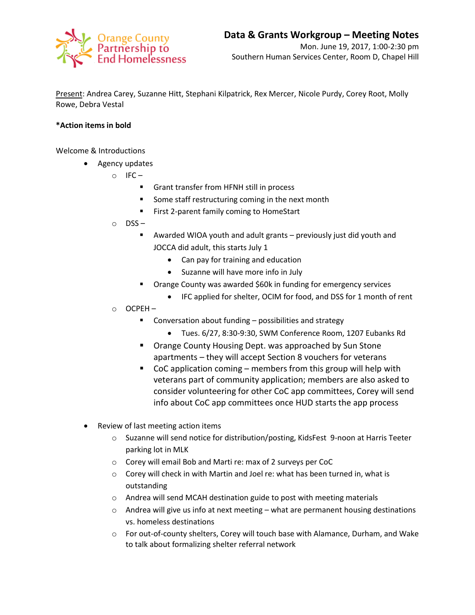

Present: Andrea Carey, Suzanne Hitt, Stephani Kilpatrick, Rex Mercer, Nicole Purdy, Corey Root, Molly Rowe, Debra Vestal

## **\*Action items in bold**

Welcome & Introductions

- Agency updates
	- $\circ$  IFC
		- Grant transfer from HFNH still in process
		- Some staff restructuring coming in the next month
		- **First 2-parent family coming to HomeStart**
	- $\circ$  DSS
		- Awarded WIOA youth and adult grants previously just did youth and JOCCA did adult, this starts July 1
			- Can pay for training and education
			- Suzanne will have more info in July
		- **Orange County was awarded \$60k in funding for emergency services** 
			- IFC applied for shelter, OCIM for food, and DSS for 1 month of rent
	- o OCPEH
		- Conversation about funding possibilities and strategy
			- Tues. 6/27, 8:30-9:30, SWM Conference Room, 1207 Eubanks Rd
		- **Orange County Housing Dept. was approached by Sun Stone** apartments – they will accept Section 8 vouchers for veterans
		- $\blacksquare$  CoC application coming members from this group will help with veterans part of community application; members are also asked to consider volunteering for other CoC app committees, Corey will send info about CoC app committees once HUD starts the app process
- Review of last meeting action items
	- o Suzanne will send notice for distribution/posting, KidsFest 9-noon at Harris Teeter parking lot in MLK
	- o Corey will email Bob and Marti re: max of 2 surveys per CoC
	- o Corey will check in with Martin and Joel re: what has been turned in, what is outstanding
	- o Andrea will send MCAH destination guide to post with meeting materials
	- $\circ$  Andrea will give us info at next meeting what are permanent housing destinations vs. homeless destinations
	- o For out-of-county shelters, Corey will touch base with Alamance, Durham, and Wake to talk about formalizing shelter referral network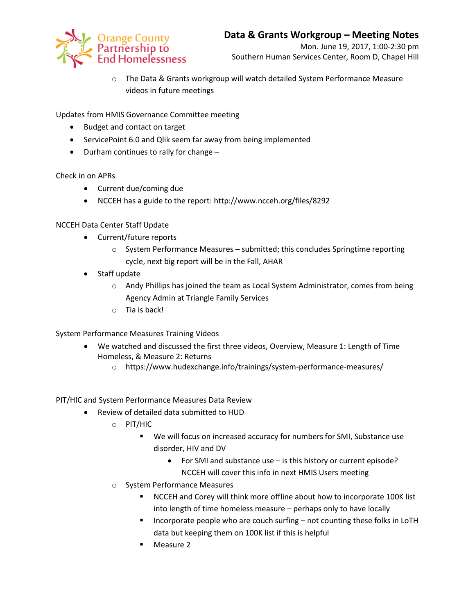

o The Data & Grants workgroup will watch detailed System Performance Measure videos in future meetings

Updates from HMIS Governance Committee meeting

- Budget and contact on target
- ServicePoint 6.0 and Qlik seem far away from being implemented
- Durham continues to rally for change -

Check in on APRs

- Current due/coming due
- NCCEH has a guide to the report: http://www.ncceh.org/files/8292

NCCEH Data Center Staff Update

- Current/future reports
	- o System Performance Measures submitted; this concludes Springtime reporting cycle, next big report will be in the Fall, AHAR
- Staff update
	- o Andy Phillips has joined the team as Local System Administrator, comes from being Agency Admin at Triangle Family Services
	- o Tia is back!

System Performance Measures Training Videos

- We watched and discussed the first three videos, Overview, Measure 1: Length of Time Homeless, & Measure 2: Returns
	- o https://www.hudexchange.info/trainings/system-performance-measures/

PIT/HIC and System Performance Measures Data Review

- Review of detailed data submitted to HUD
	- o PIT/HIC
		- We will focus on increased accuracy for numbers for SMI, Substance use disorder, HIV and DV
			- For SMI and substance use is this history or current episode? NCCEH will cover this info in next HMIS Users meeting
	- o System Performance Measures
		- NCCEH and Corey will think more offline about how to incorporate 100K list into length of time homeless measure – perhaps only to have locally
		- **Incorporate people who are couch surfing not counting these folks in LoTH** data but keeping them on 100K list if this is helpful
		- Measure 2